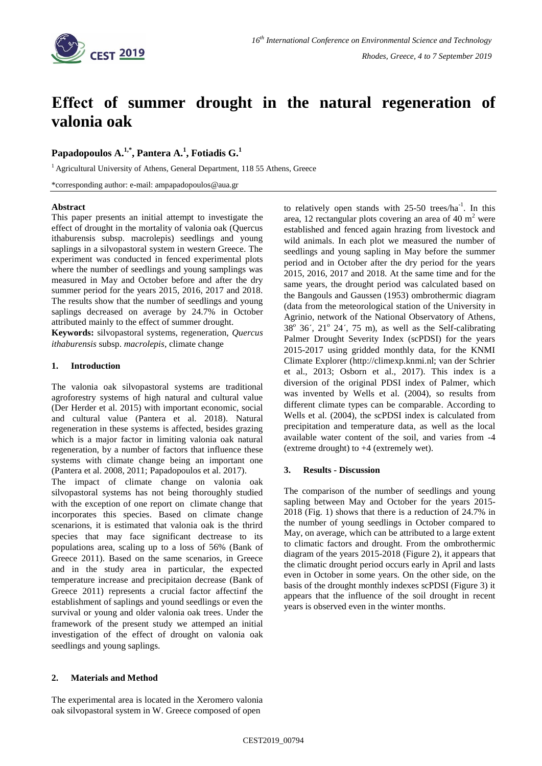

# **Εffect of summer drought in the natural regeneration of valonia oak**

# $\mathbf{P}\mathbf{a}$ padopoulos  $\mathbf{A}.^{1,*}, \mathbf{P}\mathbf{a}$ ntera  $\mathbf{A}.^{1}, \mathbf{F}\mathbf{b}$ tiadis  $\mathbf{G}.^{1}$

 $1$ Agricultural University of Athens, General Department, 118 55 Athens, Greece

\*corresponding author: e-mail: ampapadopoulos@aua.gr

# **Abstract**

This paper presents an initial attempt to investigate the effect of drought in the mortality of valonia oak (Quercus ithaburensis subsp. macrolepis) seedlings and young saplings in a silvopastoral system in western Greece. The experiment was conducted in fenced experimental plots where the number of seedlings and young samplings was measured in May and October before and after the dry summer period for the years 2015, 2016, 2017 and 2018. The results show that the number of seedlings and young saplings decreased on average by 24.7% in October attributed mainly to the effect of summer drought.

**Keywords:** silvopastoral systems, regeneration, *Quercus ithaburensis* subsp. *macrolepis*, climate change

### **1. Introduction**

The valonia oak silvopastoral systems are traditional agroforestry systems of high natural and cultural value (Der Herder et al. 2015) with important economic, social and cultural value (Pantera et al. 2018). Natural regeneration in these systems is affected, besides grazing which is a major factor in limiting valonia oak natural regeneration, by a number of factors that influence these systems with climate change being an important one (Pantera et al. 2008, 2011; Papadopoulos et al. 2017).

The impact of climate change on valonia oak silvopastoral systems has not being thoroughly studied with the exception of one report on climate change that incorporates this species. Based on climate change scenarions, it is estimated that valonia oak is the thrird species that may face significant dectrease to its populations area, scaling up to a loss of 56% (Bank of Greece 2011). Based on the same scenarios, in Greece and in the study area in particular, the expected temperature increase and precipitaion decrease (Bank of Greece 2011) represents a crucial factor affectinf the establishment of saplings and yound seedlings or even the survival or young and older valonia oak trees. Under the framework of the present study we attemped an initial investigation of the effect of drought on valonia oak seedlings and young saplings.

**2. Materials and Method**

The experimental area is located in the Xeromero valonia oak silvopastoral system in W. Greece composed of open

to relatively open stands with  $25-50$  trees/ha<sup>-1</sup>. In this area, 12 rectangular plots covering an area of 40  $m<sup>2</sup>$  were established and fenced again hrazing from livestock and wild animals. In each plot we measured the number of seedlings and young sapling in May before the summer period and in October after the dry period for the years 2015, 2016, 2017 and 2018. At the same time and for the same years, the drought period was calculated based on the Bangouls and Gaussen (1953) ombrothermic diagram (data from the meteorological station of the University in Agrinio, network of the National Observatory of Athens,  $38^{\circ}$  36',  $21^{\circ}$  24', 75 m), as well as the Self-calibrating Palmer Drought Severity Index (scPDSI) for the years 2015-2017 using gridded monthly data, for the KNMI Climate Explorer (http://climexp.knmi.nl; van der Schrier et al., 2013; Osborn et al., 2017). This index is a diversion of the original PDSI index of Palmer, which was invented by Wells et al. (2004), so results from different climate types can be comparable. According to Wells et al. (2004), the scPDSI index is calculated from precipitation and temperature data, as well as the local available water content of the soil, and varies from -4 (extreme drought) to +4 (extremely wet).

# **3. Results - Discussion**

The comparison of the number of seedlings and young sapling between May and October for the years 2015- 2018 (Fig. 1) shows that there is a reduction of 24.7% in the number of young seedlings in October compared to May, on average, which can be attributed to a large extent to climatic factors and drought. From the ombrothermic diagram of the years 2015-2018 (Figure 2), it appears that the climatic drought period occurs early in April and lasts even in October in some years. On the other side, on the basis of the drought monthly indexes scPDSI (Figure 3) it appears that the influence of the soil drought in recent years is observed even in the winter months.